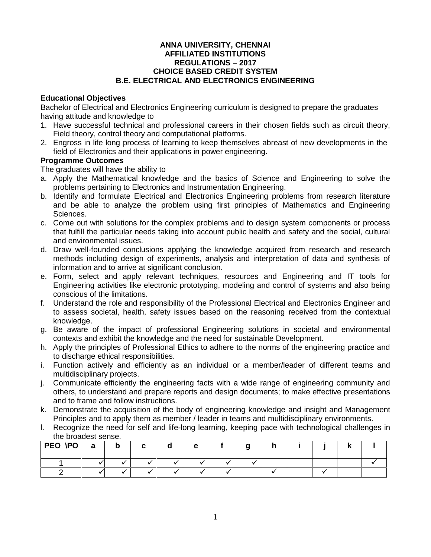#### **ANNA UNIVERSITY, CHENNAI AFFILIATED INSTITUTIONS REGULATIONS –2017 CHOICE BASED CREDIT SYSTEM B.E. ELECTRICAL AND ELECTRONICS ENGINEERING**

#### **Educational Objectives**

Bachelor of Electrical and Electronics Engineering curriculum is designed to prepare the graduates having attitude and knowledge to

- 1. Have successful technical and professional careers in their chosen fields such as circuit theory, Field theory, control theory and computational platforms.
- 2. Engross in life long process of learning to keep themselves abreast of new developments in the field of Electronics and their applications in power engineering.

#### **Programme Outcomes**

The graduates will have the ability to

- a. Apply the Mathematical knowledge and the basics of Science and Engineering to solve the problems pertaining to Electronics and Instrumentation Engineering.
- b. Identify and formulate Electrical and Electronics Engineering problems from research literature and be able to analyze the problem using first principles of Mathematics and Engineering Sciences.
- c. Come out with solutions for the complex problems and to design system components or process that fulfill the particular needs taking into account public health and safety and the social, cultural and environmental issues.
- d. Draw well-founded conclusions applying the knowledge acquired from research and research methods including design of experiments, analysis and interpretation of data and synthesis of information and to arrive at significant conclusion.
- e. Form, select and apply relevant techniques, resources and Engineering and IT tools for Engineering activities like electronic prototyping, modeling and control of systems and also being conscious of the limitations.
- f. Understand the role and responsibility of the Professional Electrical and Electronics Engineer and to assess societal, health, safety issues based on the reasoning received from the contextual knowledge.
- g. Be aware of the impact of professional Engineering solutions in societal and environmental contexts and exhibit the knowledge and the need for sustainable Development.
- h. Apply the principles of Professional Ethics to adhere to the norms of the engineering practice and to discharge ethical responsibilities.
- i. Function actively and efficiently as an individual or a member/leader of different teams and multidisciplinary projects.
- j. Communicate efficiently the engineering facts with a wide range of engineering community and others, to understand and prepare reports and design documents; to make effective presentations and to frame and follow instructions.
- k. Demonstrate the acquisition of the body of engineering knowledge and insight and Management Principles and to apply them as member / leader in teams and multidisciplinary environments.
- l. Recognize the need for self and life-long learning, keeping pace with technological challenges in the broadest sense.

| PEO \PO | a | b | C |           | e | Ð |  |  |  |
|---------|---|---|---|-----------|---|---|--|--|--|
|         |   |   |   |           |   |   |  |  |  |
|         |   |   |   | $\bullet$ |   |   |  |  |  |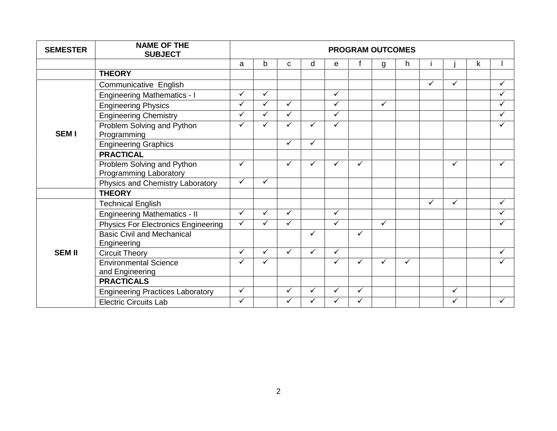| <b>SEMESTER</b> | <b>NAME OF THE</b><br><b>SUBJECT</b>                 | <b>PROGRAM OUTCOMES</b> |   |   |              |              |              |              |   |              |              |   |   |
|-----------------|------------------------------------------------------|-------------------------|---|---|--------------|--------------|--------------|--------------|---|--------------|--------------|---|---|
|                 |                                                      | a                       | b | C | d            | e            |              | g            | h |              |              | k |   |
|                 | <b>THEORY</b>                                        |                         |   |   |              |              |              |              |   |              |              |   |   |
|                 | Communicative English                                |                         |   |   |              |              |              |              |   | $\checkmark$ | ✓            |   | ✓ |
|                 | <b>Engineering Mathematics - I</b>                   | $\checkmark$            | ✓ |   |              | ✓            |              |              |   |              |              |   | ✓ |
|                 | <b>Engineering Physics</b>                           | $\checkmark$            | ✓ | ✓ |              | ✓            |              | $\checkmark$ |   |              |              |   | ✓ |
|                 | <b>Engineering Chemistry</b>                         | ✓                       | ✓ | ✓ |              | ✓            |              |              |   |              |              |   | ✓ |
| <b>SEM I</b>    | Problem Solving and Python<br>Programming            | $\checkmark$            | ✓ |   | $\checkmark$ | $\checkmark$ |              |              |   |              |              |   | ✓ |
|                 | <b>Engineering Graphics</b>                          |                         |   | ✓ | $\checkmark$ |              |              |              |   |              |              |   |   |
|                 | <b>PRACTICAL</b>                                     |                         |   |   |              |              |              |              |   |              |              |   |   |
|                 | Problem Solving and Python<br>Programming Laboratory | ✓                       |   | ✓ | $\checkmark$ |              | ✓            |              |   |              | ✓            |   | ✓ |
|                 | Physics and Chemistry Laboratory                     | ✓                       | ✓ |   |              |              |              |              |   |              |              |   |   |
|                 | <b>THEORY</b>                                        |                         |   |   |              |              |              |              |   |              |              |   |   |
|                 | <b>Technical English</b>                             |                         |   |   |              |              |              |              |   | ✓            | ✓            |   | ✓ |
|                 | <b>Engineering Mathematics - II</b>                  | ✓                       | ✓ | ✓ |              | ✓            |              |              |   |              |              |   |   |
|                 | <b>Physics For Electronics Engineering</b>           | $\checkmark$            | ✓ |   |              | $\checkmark$ |              | $\checkmark$ |   |              |              |   |   |
|                 | <b>Basic Civil and Mechanical</b><br>Engineering     |                         |   |   | $\checkmark$ |              | ✓            |              |   |              |              |   |   |
| <b>SEM II</b>   | <b>Circuit Theory</b>                                | ✓                       | ✓ |   | ✓            | ✓            |              |              |   |              |              |   | ✓ |
|                 | <b>Environmental Science</b><br>and Engineering      |                         | ✓ |   |              |              | ✓            | $\checkmark$ | ✓ |              |              |   |   |
|                 | <b>PRACTICALS</b>                                    |                         |   |   |              |              |              |              |   |              |              |   |   |
|                 | <b>Engineering Practices Laboratory</b>              | $\checkmark$            |   | ✓ | $\checkmark$ | ✓            | $\checkmark$ |              |   |              | $\checkmark$ |   |   |
|                 | <b>Electric Circuits Lab</b>                         | ✓                       |   | ✓ | ✓            | ✓            | ✓            |              |   |              | ✓            |   | ✓ |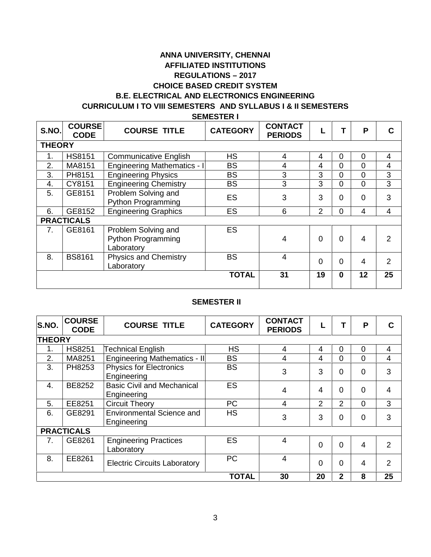### **ANNA UNIVERSITY, CHENNAI AFFILIATED INSTITUTIONS REGULATIONS –2017 CHOICE BASED CREDIT SYSTEM B.E. ELECTRICAL AND ELECTRONICS ENGINEERING CURRICULUM I TO VIII SEMESTERS AND SYLLABUS I & II SEMESTERS**

**SEMESTER I**

| S.NO.         | <b>COURSE</b><br><b>CODE</b> | <b>COURSE TITLE</b>                                            | <b>CATEGORY</b> | <b>CONTACT</b><br><b>PERIODS</b> |                |          | P              | C              |
|---------------|------------------------------|----------------------------------------------------------------|-----------------|----------------------------------|----------------|----------|----------------|----------------|
| <b>THEORY</b> |                              |                                                                |                 |                                  |                |          |                |                |
| 1.            | <b>HS8151</b>                | <b>Communicative English</b>                                   | <b>HS</b>       | 4                                | 4              | 0        | $\Omega$       | 4              |
| 2.            | MA8151                       | Engineering Mathematics - I                                    | <b>BS</b>       | 4                                | 4              | 0        | $\Omega$       | 4              |
| 3.            | PH8151                       | <b>Engineering Physics</b>                                     | <b>BS</b>       | 3                                | 3              | $\Omega$ | $\Omega$       | 3              |
| 4.            | CY8151                       | <b>Engineering Chemistry</b>                                   | <b>BS</b>       | 3                                | 3              | 0        | $\Omega$       | 3              |
| 5.            | GE8151                       | Problem Solving and<br><b>Python Programming</b>               | <b>ES</b>       | 3                                | 3              | $\Omega$ | $\Omega$       | 3              |
| 6.            | GE8152                       | <b>Engineering Graphics</b>                                    | <b>ES</b>       | 6                                | $\overline{2}$ | 0        | 4              | 4              |
|               | <b>PRACTICALS</b>            |                                                                |                 |                                  |                |          |                |                |
| 7.            | GE8161                       | Problem Solving and<br><b>Python Programming</b><br>Laboratory | <b>ES</b>       | $\overline{4}$                   | $\Omega$       | $\Omega$ | $\overline{4}$ | 2              |
| 8.            | <b>BS8161</b>                | <b>Physics and Chemistry</b><br>Laboratory                     | <b>BS</b>       | $\overline{4}$                   | $\Omega$       | $\Omega$ | $\overline{4}$ | $\overline{2}$ |
|               |                              |                                                                | <b>TOTAL</b>    | 31                               | 19             | $\bf{0}$ | 12             | 25             |

#### **SEMESTER II**

| S.NO.            | <b>COURSE</b><br><b>CODE</b> | <b>COURSE TITLE</b>                              | <b>CATEGORY</b> | <b>CONTACT</b><br><b>PERIODS</b> |                |                | P              | C              |
|------------------|------------------------------|--------------------------------------------------|-----------------|----------------------------------|----------------|----------------|----------------|----------------|
| <b>THEORY</b>    |                              |                                                  |                 |                                  |                |                |                |                |
| 1.               | <b>HS8251</b>                | <b>Technical English</b>                         | <b>HS</b>       | 4                                | 4              | 0              | $\Omega$       | 4              |
| 2.               | MA8251                       | Engineering Mathematics - II                     | <b>BS</b>       | 4                                | 4              | 0              | $\overline{0}$ | 4              |
| 3.               | PH8253                       | <b>Physics for Electronics</b><br>Engineering    | <b>BS</b>       | 3                                | 3              | $\Omega$       | $\overline{0}$ | 3              |
| $\overline{4}$ . | BE8252                       | <b>Basic Civil and Mechanical</b><br>Engineering | <b>ES</b>       | $\overline{4}$                   | $\overline{4}$ | $\Omega$       | $\Omega$       | 4              |
| 5.               | EE8251                       | <b>Circuit Theory</b>                            | <b>PC</b>       | 4                                | $\overline{2}$ | 2              | $\mathbf 0$    | 3              |
| 6.               | GE8291                       | <b>Environmental Science and</b><br>Engineering  | <b>HS</b>       | 3                                | 3              | $\overline{0}$ | $\overline{0}$ | 3              |
|                  | <b>PRACTICALS</b>            |                                                  |                 |                                  |                |                |                |                |
| 7.               | GE8261                       | <b>Engineering Practices</b><br>Laboratory       | <b>ES</b>       | $\overline{4}$                   | $\Omega$       | $\Omega$       | 4              | $\overline{2}$ |
| 8.               | EE8261                       | <b>Electric Circuits Laboratory</b>              | PC              | 4                                | $\Omega$       | $\overline{0}$ | $\overline{4}$ | $\overline{2}$ |
|                  |                              |                                                  | <b>TOTAL</b>    | 30                               | 20             | $\mathbf 2$    | 8              | 25             |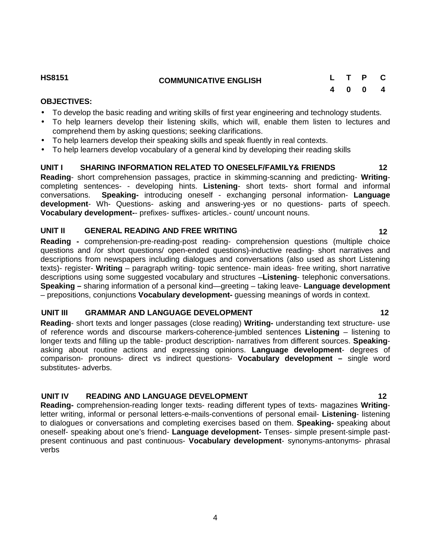#### **OBJECTIVES:**

- To develop the basic reading and writing skills of first year engineering and technology students.
- To help learners develop their listening skills, which will, enable them listen to lectures and comprehend them by asking questions; seeking clarifications.
- To help learners develop their speaking skills and speak fluently in real contexts.
- To help learners develop vocabulary of a general kind by developing their reading skills

#### **UNIT I SHARING INFORMATION RELATED TO ONESELF/FAMILY& FRIENDS 12**

**Reading**- short comprehension passages, practice in skimming-scanning and predicting- **Writing** completing sentences- - developing hints. **Listening**- short texts- short formal and informal conversations. **Speaking-** introducing oneself - exchanging personal information- **Language development**- Wh- Questions- asking and answering-yes or no questions- parts of speech. **Vocabulary development-**- prefixes- suffixes- articles.- count/ uncount nouns.

#### **UNIT II GENERAL READING AND FREE WRITING 12**

**Reading -** comprehension-pre-reading-post reading- comprehension questions (multiple choice questions and /or short questions/ open-ended questions)-inductive reading- short narratives and descriptions from newspapers including dialogues and conversations (also used as short Listening texts)- register- **Writing** – paragraph writing- topic sentence- main ideas- free writing, short narrative descriptions using some suggested vocabulary and structures –**Listening**- telephonic conversations. **Speaking –** sharing information of a personal kind—greeting – taking leave- **Language development** – prepositions, conjunctions **Vocabulary development-** guessing meanings of words in context.

#### **UNIT III GRAMMAR AND LANGUAGE DEVELOPMENT 12**

**Reading**- short texts and longer passages (close reading) **Writing-** understanding text structure- use of reference words and discourse markers-coherence-jumbled sentences **Listening** – listening to longer texts and filling up the table- product description- narratives from different sources. **Speaking** asking about routine actions and expressing opinions. **Language development**- degrees of comparison- pronouns- direct vs indirect questions- **Vocabulary development –** single word substitutes- adverbs.

#### **UNIT IV READING AND LANGUAGE DEVELOPMENT 12**

**Reading-** comprehension-reading longer texts- reading different types of texts- magazines **Writing**letter writing, informal or personal letters-e-mails-conventions of personal email- **Listening**- listening to dialogues or conversations and completing exercises based on them. **Speaking-** speaking about oneself- speaking about one's friend- **Language development-** Tenses- simple present-simple past present continuous and past continuous- **Vocabulary development**- synonyms-antonyms- phrasal verbs

# **4 0 0 4**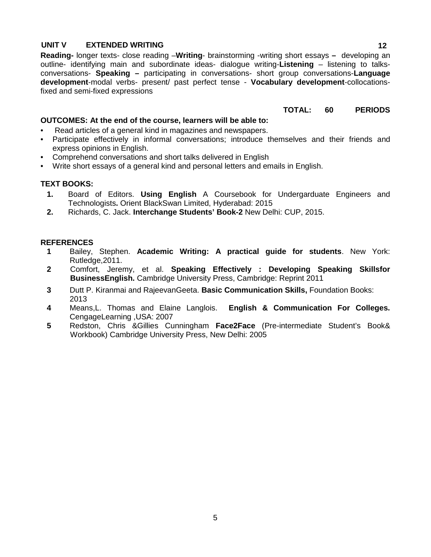#### **UNIT V EXTENDED WRITING 12**

**Reading-** longer texts- close reading –**Writing**- brainstorming -writing short essays **–** developing an outline- identifying main and subordinate ideas- dialogue writing-**Listening** – listening to talks conversations- **Speaking –** participating in conversations- short group conversations-**Language development**-modal verbs- present/ past perfect tense - **Vocabulary development**-collocationsfixed and semi-fixed expressions

#### **TOTAL: 60 PERIODS**

#### **OUTCOMES: At the end of the course, learners will be able to:**

- Read articles of a general kind in magazines and newspapers.
- Participate effectively in informal conversations; introduce themselves and their friends and express opinions in English.
- Comprehend conversations and short talks delivered in English
- Write short essays of a general kind and personal letters and emails in English.

#### **TEXT BOOKS:**

- **1.** Board of Editors. **Using English** A Coursebook for Undergarduate Engineers and Technologists**.** Orient BlackSwan Limited, Hyderabad: 2015
- **2.** Richards, C. Jack. **Interchange Students' Book-2** New Delhi: CUP, 2015.

#### **REFERENCES**

- **1** Bailey, Stephen. **Academic Writing: A practical guide for students**. New York: Rutledge,2011.
- **2** Comfort, Jeremy, et al. **Speaking Effectively : Developing Speaking Skillsfor BusinessEnglish.** Cambridge University Press, Cambridge: Reprint 2011
- **3** Dutt P. Kiranmai and RajeevanGeeta. **Basic Communication Skills,** Foundation Books: 2013
- **4** Means,L. Thomas and Elaine Langlois. **English & Communication For Colleges.** CengageLearning ,USA: 2007
- **5** Redston, Chris &Gillies Cunningham **Face2Face** (Pre-intermediate Student's Book& Workbook) Cambridge University Press, New Delhi: 2005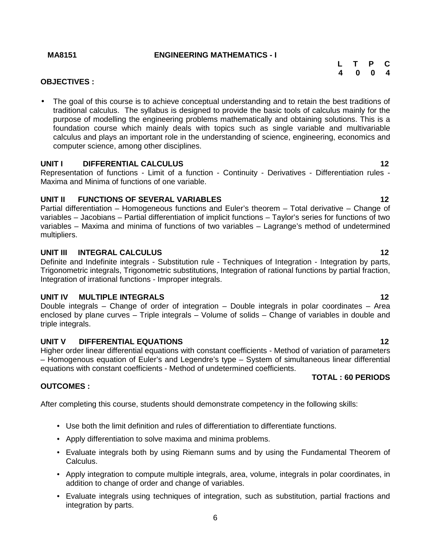#### **MA8151 ENGINEERING MATHEMATICS - I**

| L T P C |  |  |
|---------|--|--|
| 4 0 0 4 |  |  |

#### **OBJECTIVES :**

 The goal of this course is to achieve conceptual understanding and to retain the best traditions of traditional calculus. The syllabus is designed to provide the basic tools of calculus mainly for the purpose of modelling the engineering problems mathematically and obtaining solutions. This is a foundation course which mainly deals with topics such as single variable and multivariable calculus and plays an important role in the understanding of science, engineering, economics and computer science, among other disciplines.

#### **UNIT I DIFFERENTIAL CALCULUS 12**

Representation of functions - Limit of a function - Continuity - Derivatives - Differentiation rules - Maxima and Minima of functions of one variable.

#### **UNIT II FUNCTIONS OF SEVERAL VARIABLES 12**

Partial differentiation – Homogeneous functions and Euler's theorem – Total derivative – Change of variables – Jacobians – Partial differentiation of implicit functions – Taylor's series for functions of two variables – Maxima and minima of functions of two variables – Lagrange's method of undetermined multipliers.

#### **UNIT III INTEGRAL CALCULUS 12**

Definite and Indefinite integrals - Substitution rule - Techniques of Integration - Integration by parts, Trigonometric integrals, Trigonometric substitutions, Integration of rational functions by partial fraction, Integration of irrational functions - Improper integrals.

#### **UNIT IV MULTIPLE INTEGRALS 12**

Double integrals – Change of order of integration – Double integrals in polar coordinates – Area enclosed by plane curves – Triple integrals – Volume of solids – Change of variables in double and triple integrals.

#### **UNIT V DIFFERENTIAL EQUATIONS 12**

Higher order linear differential equations with constant coefficients - Method of variation of parameters – Homogenous equation of Euler's and Legendre's type – System of simultaneous linear differential equations with constant coefficients - Method of undetermined coefficients.

#### **TOTAL : 60 PERIODS**

#### **OUTCOMES :**

After completing this course, students should demonstrate competency in the following skills:

- Use both the limit definition and rules of differentiation to differentiate functions.
- Apply differentiation to solve maxima and minima problems.
- Evaluate integrals both by using Riemann sums and by using the Fundamental Theorem of Calculus.
- Apply integration to compute multiple integrals, area, volume, integrals in polar coordinates, in addition to change of order and change of variables.
- Evaluate integrals using techniques of integration, such as substitution, partial fractions and integration by parts.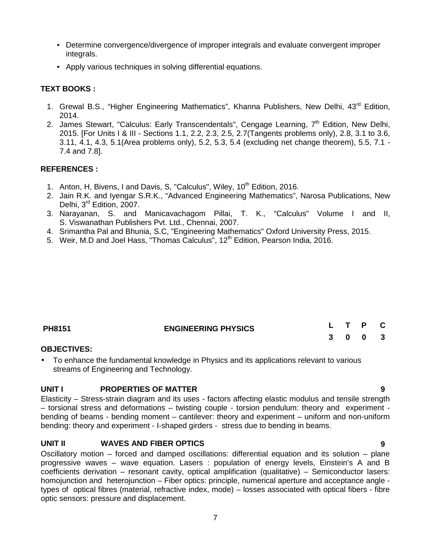- Determine convergence/divergence of improper integrals and evaluate convergent improper integrals.
- Apply various techniques in solving differential equations.

### **TEXT BOOKS :**

- 1. Grewal B.S., "Higher Engineering Mathematics", Khanna Publishers, New Delhi, 43<sup>rd</sup> Edition, 2014.
- 2. James Stewart, "Calculus: Early Transcendentals", Cengage Learning, 7<sup>th</sup> Edition, New Delhi, 2015. [For Units I & III - Sections 1.1, 2.2, 2.3, 2.5, 2.7(Tangents problems only), 2.8, 3.1 to 3.6, 3.11, 4.1, 4.3, 5.1(Area problems only), 5.2, 5.3, 5.4 (excluding net change theorem), 5.5, 7.1 - 7.4 and 7.8].

#### **REFERENCES :**

- 1. Anton, H, Bivens, I and Davis, S, "Calculus", Wiley, 10<sup>th</sup> Edition, 2016.
- 2. Jain R.K. and Iyengar S.R.K., "Advanced Engineering Mathematics", Narosa Publications, New Delhi, 3<sup>rd</sup> Edition, 2007.
- 3. Narayanan, S. and Manicavachagom Pillai, T. K., "Calculus" Volume I and II, S. Viswanathan Publishers Pvt. Ltd., Chennai, 2007.
- 4. Srimantha Pal and Bhunia, S.C, "Engineering Mathematics" Oxford University Press, 2015.
- 5. Weir, M.D and Joel Hass, "Thomas Calculus", 12<sup>th</sup> Edition, Pearson India, 2016.

| <b>PH8151</b> | <b>ENGINEERING PHYSICS</b> |  | L T P C |  |
|---------------|----------------------------|--|---------|--|
|               |                            |  | 3 0 0 3 |  |

#### **OBJECTIVES:**

 To enhance the fundamental knowledge in Physics and its applications relevant to various streams of Engineering and Technology.

#### **UNIT I PROPERTIES OF MATTER 9**

Elasticity – Stress-strain diagram and its uses - factors affecting elastic modulus and tensile strength – torsional stress and deformations – twisting couple - torsion pendulum: theory and experiment bending of beams - bending moment – cantilever: theory and experiment – uniform and non-uniform bending: theory and experiment - I-shaped girders - stress due to bending in beams.

### **UNIT II WAVES AND FIBER OPTICS 9**

Oscillatory motion – forced and damped oscillations: differential equation and its solution – plane progressive waves – wave equation. Lasers : population of energy levels, Einstein's A and B coefficients derivation – resonant cavity, optical amplification (qualitative) – Semiconductor lasers: homojunction and heterojunction – Fiber optics: principle, numerical aperture and acceptance angle types of optical fibres (material, refractive index, mode) – losses associated with optical fibers - fibre optic sensors: pressure and displacement.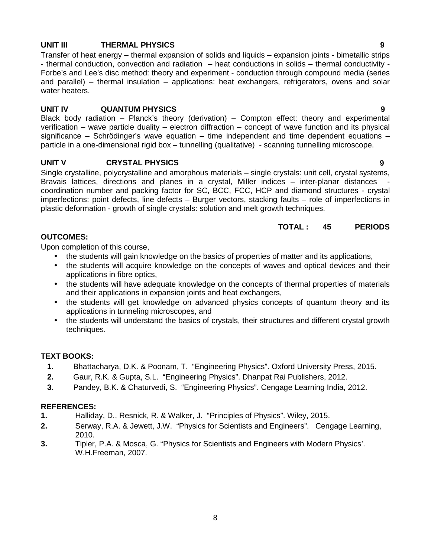#### **UNIT III THERMAL PHYSICS 9**

Transfer of heat energy – thermal expansion of solids and liquids – expansion joints - bimetallic strips - thermal conduction, convection and radiation – heat conductions in solids – thermal conductivity - Forbe's and Lee's disc method: theory and experiment - conduction through compound media (series and parallel) – thermal insulation – applications: heat exchangers, refrigerators, ovens and solar water heaters.

#### **UNIT IV QUANTUM PHYSICS 9**

Black body radiation – Planck's theory (derivation) – Compton effect: theory and experimental verification – wave particle duality – electron diffraction – concept of wave function and its physical significance – Schrödinger's wave equation – time independent and time dependent equations – particle in a one-dimensional rigid box – tunnelling (qualitative) - scanning tunnelling microscope.

### **UNIT V CRYSTAL PHYSICS 9**

Single crystalline, polycrystalline and amorphous materials – single crystals: unit cell, crystal systems, Bravais lattices, directions and planes in a crystal, Miller indices – inter-planar distances coordination number and packing factor for SC, BCC, FCC, HCP and diamond structures - crystal imperfections: point defects, line defects – Burger vectors, stacking faults – role of imperfections in plastic deformation - growth of single crystals: solution and melt growth techniques.

#### **TOTAL : 45 PERIODS**

### **OUTCOMES:**

Upon completion of this course,

- the students will gain knowledge on the basics of properties of matter and its applications,
- the students will acquire knowledge on the concepts of waves and optical devices and their applications in fibre optics,
- the students will have adequate knowledge on the concepts of thermal properties of materials and their applications in expansion joints and heat exchangers,
- the students will get knowledge on advanced physics concepts of quantum theory and its applications in tunneling microscopes, and
- the students will understand the basics of crystals, their structures and different crystal growth techniques.

### **TEXT BOOKS:**

- **1.** Bhattacharya, D.K. & Poonam, T. "Engineering Physics". Oxford University Press, 2015.
- **2.** Gaur, R.K. & Gupta, S.L. "Engineering Physics". Dhanpat Rai Publishers, 2012.
- **3.** Pandey, B.K. & Chaturvedi, S. "Engineering Physics". Cengage Learning India, 2012.

### **REFERENCES:**

- **1.** Halliday, D., Resnick, R. & Walker, J. "Principles of Physics". Wiley, 2015.
- **2.** Serway, R.A. & Jewett, J.W. "Physics for Scientists and Engineers". Cengage Learning, 2010.
- **3.** Tipler, P.A. & Mosca, G. "Physics for Scientists and Engineers with Modern Physics'. W.H.Freeman, 2007.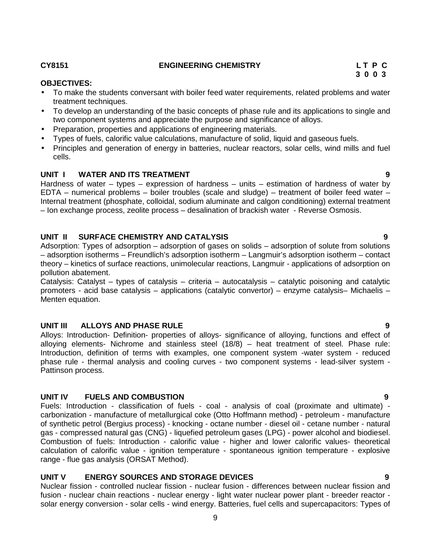#### **CY8151 ENGINEERING CHEMISTRY L T P C**

#### **OBJECTIVES:**

- To make the students conversant with boiler feed water requirements, related problems and water treatment techniques.
- To develop an understanding of the basic concepts of phase rule and its applications to single and two component systems and appreciate the purpose and significance of alloys.
- Preparation, properties and applications of engineering materials.
- Types of fuels, calorific value calculations, manufacture of solid, liquid and gaseous fuels.
- Principles and generation of energy in batteries, nuclear reactors, solar cells, wind mills and fuel cells.

#### **UNIT I WATER AND ITS TREATMENT 9**

Hardness of water – types – expression of hardness – units – estimation of hardness of water by EDTA – numerical problems – boiler troubles (scale and sludge) – treatment of boiler feed water – Internal treatment (phosphate, colloidal, sodium aluminate and calgon conditioning) external treatment – Ion exchange process, zeolite process – desalination of brackish water - Reverse Osmosis.

#### **UNIT II SURFACE CHEMISTRY AND CATALYSIS 9**

Adsorption: Types of adsorption – adsorption of gases on solids – adsorption of solute from solutions – adsorption isotherms – Freundlich's adsorption isotherm – Langmuir's adsorption isotherm – contact theory – kinetics of surface reactions, unimolecular reactions, Langmuir - applications of adsorption on pollution abatement.

Catalysis: Catalyst – types of catalysis – criteria – autocatalysis – catalytic poisoning and catalytic promoters - acid base catalysis – applications (catalytic convertor) – enzyme catalysis– Michaelis – Menten equation.

#### **UNIT III ALLOYS AND PHASE RULE 9**

Alloys: Introduction- Definition- properties of alloys- significance of alloying, functions and effect of alloying elements- Nichrome and stainless steel (18/8) – heat treatment of steel. Phase rule: Introduction, definition of terms with examples, one component system -water system - reduced phase rule - thermal analysis and cooling curves - two component systems - lead-silver system - Pattinson process.

#### **UNIT IV FUELS AND COMBUSTION 9**

Fuels: Introduction - classification of fuels - coal - analysis of coal (proximate and ultimate) carbonization - manufacture of metallurgical coke (Otto Hoffmann method) - petroleum - manufacture of synthetic petrol (Bergius process) - knocking - octane number - diesel oil - cetane number - natural gas - compressed natural gas (CNG) - liquefied petroleum gases (LPG) - power alcohol and biodiesel. Combustion of fuels: Introduction - calorific value - higher and lower calorific values- theoretical calculation of calorific value - ignition temperature - spontaneous ignition temperature - explosive range - flue gas analysis (ORSAT Method).

### **UNIT V ENERGY SOURCES AND STORAGE DEVICES 9**

Nuclear fission - controlled nuclear fission - nuclear fusion - differences between nuclear fission and fusion - nuclear chain reactions - nuclear energy - light water nuclear power plant - breeder reactor solar energy conversion - solar cells - wind energy. Batteries, fuel cells and supercapacitors: Types of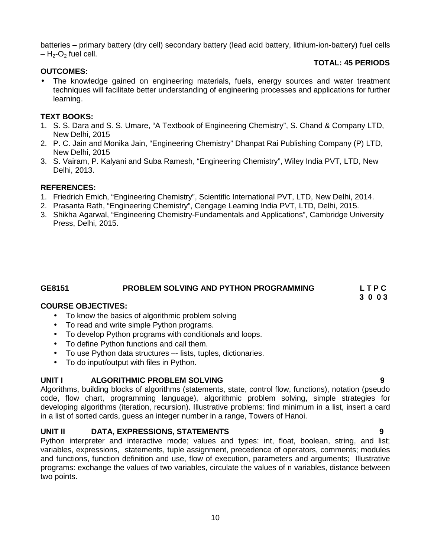batteries – primary battery (dry cell) secondary battery (lead acid battery, lithium-ion-battery) fuel cells  $- H_2$ -O<sub>2</sub> fuel cell.

#### **TOTAL: 45 PERIODS**

#### **OUTCOMES:**

 The knowledge gained on engineering materials, fuels, energy sources and water treatment techniques will facilitate better understanding of engineering processes and applications for further learning.

#### **TEXT BOOKS:**

- 1. S. S. Dara and S. S. Umare, "A Textbook of Engineering Chemistry", S. Chand & Company LTD, New Delhi, 2015
- 2. P. C. Jain and Monika Jain, "Engineering Chemistry" Dhanpat Rai Publishing Company (P) LTD, New Delhi, 2015
- 3. S. Vairam, P. Kalyani and Suba Ramesh, "Engineering Chemistry", Wiley India PVT, LTD, New Delhi, 2013.

#### **REFERENCES:**

- 1. Friedrich Emich, "Engineering Chemistry", Scientific International PVT, LTD, New Delhi, 2014.
- 2. Prasanta Rath, "Engineering Chemistry", Cengage Learning India PVT, LTD, Delhi, 2015.
- 3. Shikha Agarwal, "Engineering Chemistry-Fundamentals and Applications", Cambridge University Press, Delhi, 2015.

#### **GE8151 PROBLEM SOLVING AND PYTHON PROGRAMMING L T P C**

#### **COURSE OBJECTIVES:**

- To know the basics of algorithmic problem solving
- To read and write simple Python programs.
- To develop Python programs with conditionals and loops.
- To define Python functions and call them.
- To use Python data structures –- lists, tuples, dictionaries.
- To do input/output with files in Python.

#### **UNIT I ALGORITHMIC PROBLEM SOLVING 9**

Algorithms, building blocks of algorithms (statements, state, control flow, functions), notation (pseudo code, flow chart, programming language), algorithmic problem solving, simple strategies for developing algorithms (iteration, recursion). Illustrative problems: find minimum in a list, insert a card in a list of sorted cards, guess an integer number in a range, Towers of Hanoi.

#### **UNIT II DATA, EXPRESSIONS, STATEMENTS 9**

Python interpreter and interactive mode; values and types: int, float, boolean, string, and list; variables, expressions, statements, tuple assignment, precedence of operators, comments; modules and functions, function definition and use, flow of execution, parameters and arguments; Illustrative programs: exchange the values of two variables, circulate the values of n variables, distance between two points.

**3 0 0 3**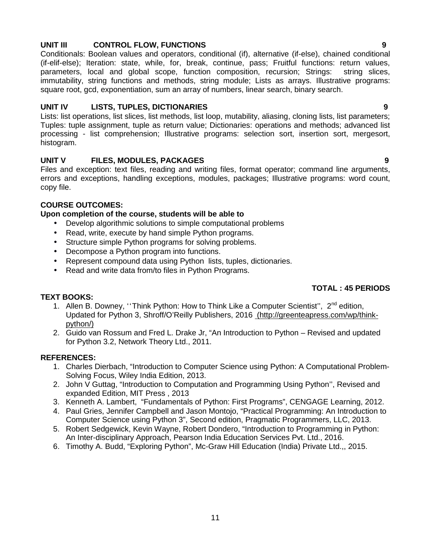#### **UNIT III CONTROL FLOW, FUNCTIONS 9**

Conditionals: Boolean values and operators, conditional (if), alternative (if-else), chained conditional (if-elif-else); Iteration: state, while, for, break, continue, pass; Fruitful functions: return values, parameters, local and global scope, function composition, recursion; Strings: string slices, immutability, string functions and methods, string module; Lists as arrays. Illustrative programs: square root, gcd, exponentiation, sum an array of numbers, linear search, binary search.

#### **UNIT IV LISTS, TUPLES, DICTIONARIES 9**

Lists: list operations, list slices, list methods, list loop, mutability, aliasing, cloning lists, list parameters; Tuples: tuple assignment, tuple as return value; Dictionaries: operations and methods; advanced list processing - list comprehension; Illustrative programs: selection sort, insertion sort, mergesort, histogram.

### **UNIT V FILES, MODULES, PACKAGES 9**

Files and exception: text files, reading and writing files, format operator; command line arguments, errors and exceptions, handling exceptions, modules, packages; Illustrative programs: word count, copy file.

#### **COURSE OUTCOMES:**

#### **Upon completion of the course, students will be able to**

- Develop algorithmic solutions to simple computational problems
- Read, write, execute by hand simple Python programs.
- Structure simple Python programs for solving problems.
- Decompose a Python program into functions.
- Represent compound data using Python lists, tuples, dictionaries.
- Read and write data from/to files in Python Programs.

### **TOTAL : 45 PERIODS**

#### **TEXT BOOKS:**

- 1. Allen B. Downey, "Think Python: How to Think Like a Computer Scientist",  $2^{nd}$  edition, Updated for Python 3, Shroff/O'Reilly Publishers, 2016 (http://greenteapress.com/wp/think python/)
- 2. Guido van Rossum and Fred L. Drake Jr, "An Introduction to Python Revised and updated for Python 3.2, Network Theory Ltd., 2011.

#### **REFERENCES:**

- 1. Charles Dierbach, "Introduction to Computer Science using Python: A Computational Problem- Solving Focus, Wiley India Edition, 2013.
- 2. John V Guttag, "Introduction to Computation and Programming Using Python'', Revised and expanded Edition, MIT Press , 2013
- 3. Kenneth A. Lambert, "Fundamentals of Python: First Programs", CENGAGE Learning, 2012.
- 4. Paul Gries, Jennifer Campbell and Jason Montojo, "Practical Programming: An Introduction to Computer Science using Python 3", Second edition, Pragmatic Programmers, LLC, 2013.
- 5. Robert Sedgewick, Kevin Wayne, Robert Dondero, "Introduction to Programming in Python: An Inter-disciplinary Approach, Pearson India Education Services Pvt. Ltd., 2016.
- 6. Timothy A. Budd, "Exploring Python", Mc-Graw Hill Education (India) Private Ltd.,, 2015.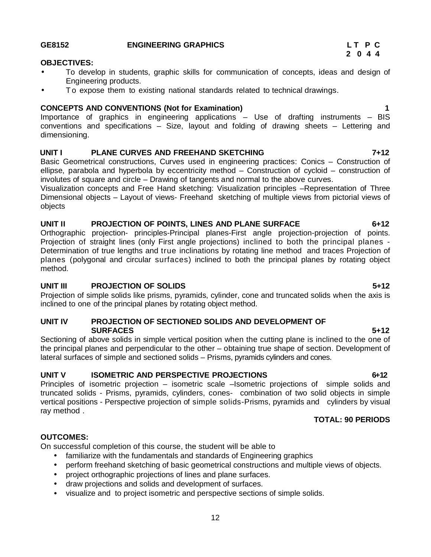#### **GE8152 ENGINEERING GRAPHICS L T P C**

#### **OBJECTIVES:**

- To develop in students, graphic skills for communication of concepts, ideas and design of Engineering products. THE CONSTRUES:<br>
• To develop in students, graphic skills for communication of concepts, ideas and design of<br>
Engineering products.<br>
• To expose them to existing national standards related to technical drawings.<br> **CONCEPTS**
- 

Importance of graphics in engineering applications – Use of drafting instruments – BIS conventions and specifications – Size, layout and folding of drawing sheets – Lettering and dimensioning.

#### **UNIT I PLANE CURVES AND FREEHAND SKETCHING 7+12**

Basic Geometrical constructions, Curves used in engineering practices: Conics – Construction of ellipse, parabola and hyperbola by eccentricity method – Construction of cycloid – construction of involutes of square and circle – Drawing of tangents and normal to the above curves.

Visualization concepts and Free Hand sketching: Visualization principles –Representation of Three Dimensional objects – Layout of views- Freehand sketching of multiple views from pictorial views of objects

#### **UNIT II PROJECTION OF POINTS, LINES AND PLANE SURFACE 6+12**

Orthographic projection- principles-Principal planes-First angle projection-projection of points. Projection of straight lines (only First angle projections) inclined to both the principal planes - Determination of true lengths and true inclinations by rotating line method and traces Projection of planes (polygonal and circular surfaces) inclined to both the principal planes by rotating object method.

#### **UNIT III PROJECTION OF SOLIDS 5+12**

Projection of simple solids like prisms, pyramids, cylinder, cone and truncated solids when the axis is inclined to one of the principal planes by rotating object method.

#### **UNIT IV PROJECTION OF SECTIONED SOLIDS AND DEVELOPMENT OF SURFACES 5+12**

Sectioning of above solids in simple vertical position when the cutting plane is inclined to the one of the principal planes and perpendicular to the other – obtaining true shape of section. Development of lateral surfaces of simple and sectioned solids – Prisms, pyramids cylinders and cones.

#### **UNIT V ISOMETRIC AND PERSPECTIVE PROJECTIONS 6 +12**

Principles of isometric projection – isometric scale –Isometric projections of simple solids and truncated solids - Prisms, pyramids, cylinders, cones- combination of two solid objects in simple vertical positions - Perspective projection of simple solids-Prisms, pyramids and cylinders by visual ray method .

#### **TOTAL: 90 PERIODS**

### **OUTCOMES:**

On successful completion of this course, the student will be able to

- familiarize with the fundamentals and standards of Engineering graphics
- perform freehand sketching of basic geometrical constructions and multiple views of objects.
- project orthographic projections of lines and plane surfaces.
- draw projections and solids and development of surfaces.
- visualize and to project isometric and perspective sections of simple solids.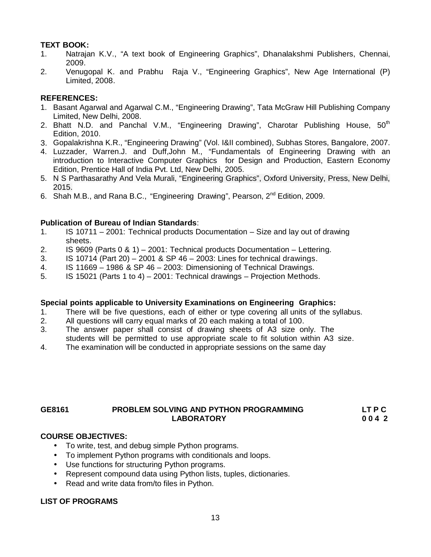#### **TEXT BOOK:**

- 1. Natrajan K.V., "A text book of Engineering Graphics", Dhanalakshmi Publishers, Chennai, 2009.
- 2. Venugopal K. and Prabhu Raja V., "Engineering Graphics", New Age International (P) Limited, 2008.

#### **REFERENCES:**

- 1. Basant Agarwal and Agarwal C.M., "Engineering Drawing", Tata McGraw Hill Publishing Company Limited, New Delhi, 2008.
- 2. Bhatt N.D. and Panchal V.M., "Engineering Drawing", Charotar Publishing House,  $50<sup>th</sup>$ Edition, 2010.
- 3. Gopalakrishna K.R., "Engineering Drawing" (Vol. I&II combined), Subhas Stores, Bangalore, 2007.
- 4. Luzzader, Warren.J. and Duff,John M., "Fundamentals of Engineering Drawing with an introduction to Interactive Computer Graphics for Design and Production, Eastern Economy Edition, Prentice Hall of India Pvt. Ltd, New Delhi, 2005.
- 5. N S Parthasarathy And Vela Murali, "Engineering Graphics", Oxford University, Press, New Delhi, 2015.
- 6. Shah M.B., and Rana B.C., "Engineering Drawing", Pearson, 2<sup>nd</sup> Edition, 2009.

#### **Publication of Bureau of Indian Standards**:

- 1. IS 10711 2001: Technical products Documentation Size and lay outof drawing sheets.
- 2. IS 9609 (Parts 0 & 1) 2001: Technical products Documentation Lettering.
- 3. IS 10714 (Part 20) 2001 & SP 46 2003: Lines for technical drawings.
- 4. IS 11669 1986 & SP 46 2003: Dimensioning of Technical Drawings.
- 5. IS 15021 (Parts 1 to 4) 2001: Technical drawings Projection Methods.

#### **Special points applicable to University Examinations on Engineering Graphics:**

- 1. There will be five questions, each of either or type covering all units of the syllabus.
- 2. All questions will carry equal marks of 20 each making a total of 100.
- 3. The answer paper shall consist of drawing sheets of A3 size only. The students will be permitted to use appropriate scale to fit solution within A3 size.
- 4. The examination will be conducted in appropriate sessions on the same day

#### **GE8161 PROBLEM SOLVING AND PYTHON PROGRAMMING LT P C LABORATORY 0 0 4 2**

#### **COURSE OBJECTIVES:**

- To write, test, and debug simple Python programs.
- To implement Python programs with conditionals and loops.
- Use functions for structuring Python programs.
- Represent compound data using Python lists, tuples, dictionaries.
- Read and write data from/to files in Python.

#### **LIST OF PROGRAMS**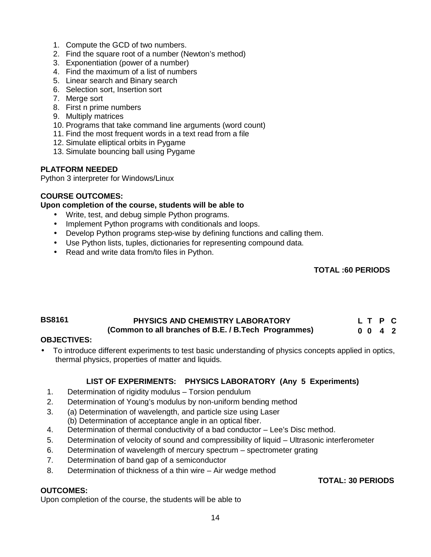- 1. Compute the GCD of two numbers.
- 2. Find the square root of a number (Newton's method)
- 3. Exponentiation (power of a number)
- 4. Find the maximum of a list of numbers
- 5. Linear search and Binary search
- 6. Selection sort, Insertion sort
- 7. Merge sort
- 8. First n prime numbers
- 9. Multiply matrices
- 10. Programs that take command line arguments (word count)
- 11. Find the most frequent words in a text read from a file
- 12. Simulate elliptical orbits in Pygame
- 13. Simulate bouncing ball using Pygame

### **PLATFORM NEEDED**

Python 3 interpreter for Windows/Linux

#### **COURSE OUTCOMES:**

#### **Upon completion of the course, students will be able to**

- Write, test, and debug simple Python programs.
- Implement Python programs with conditionals and loops.
- Develop Python programs step-wise by defining functions and calling them.
- Use Python lists, tuples, dictionaries for representing compound data.
- Read and write data from/to files in Python.

#### **TOTAL :60 PERIODS**

#### **BS8161 PHYSICS AND CHEMISTRY LABORATORY (Common to all branches of B.E. / B.Tech Programmes) L T P C 0 0 4 2**

### **OBJECTIVES:**

 To introduce different experiments to test basic understanding of physics concepts applied in optics, thermal physics, properties of matter and liquids.

### **LIST OF EXPERIMENTS: PHYSICS LABORATORY (Any 5 Experiments)**

- 1. Determination of rigidity modulus Torsion pendulum
- 2. Determination of Young's modulus by non-uniform bending method
- 3. (a) Determination of wavelength, and particle size using Laser (b) Determination of acceptance angle in an optical fiber.
- 4. Determination of thermal conductivity of a bad conductor Lee's Disc method.
- 5. Determination of velocity of sound and compressibility of liquid Ultrasonic interferometer
- 6. Determination of wavelength of mercury spectrum spectrometer grating
- 7. Determination of band gap of a semiconductor
- 8. Determination of thickness of a thin wire Air wedge method

#### **OUTCOMES:**

Upon completion of the course, the students will be able to

## **TOTAL: 30 PERIODS**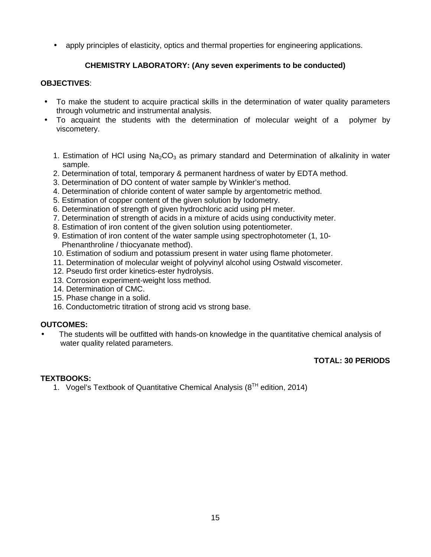apply principles of elasticity, optics and thermal properties for engineering applications.

### **CHEMISTRY LABORATORY: (Any seven experiments to be conducted)**

#### **OBJECTIVES**:

- To make the student to acquire practical skills in the determination of water quality parameters through volumetric and instrumental analysis.
- To acquaint the students with the determination of molecular weight of a polymer by viscometery.
	- 1. Estimation of HCl using  $Na<sub>2</sub>CO<sub>3</sub>$  as primary standard and Determination of alkalinity in water sample.
	- 2. Determination of total, temporary & permanent hardness of water by EDTA method.
	- 3. Determination of DO content of water sample by Winkler's method.
	- 4. Determination of chloride content of water sample by argentometric method.
	- 5. Estimation of copper content of the given solution by Iodometry.
	- 6. Determination of strength of given hydrochloric acid using pH meter.
	- 7. Determination of strength of acids in a mixture of acids using conductivity meter.
	- 8. Estimation of iron content of the given solution using potentiometer.
	- 9. Estimation of iron content of the water sample using spectrophotometer (1, 10- Phenanthroline / thiocyanate method).
	- 10. Estimation of sodium and potassium present in water using flame photometer.
	- 11. Determination of molecular weight of polyvinyl alcohol using Ostwald viscometer.
	- 12. Pseudo first order kinetics-ester hydrolysis.
	- 13. Corrosion experiment-weight loss method.
	- 14. Determination of CMC.
	- 15. Phase change in a solid.
	- 16. Conductometric titration of strong acid vs strong base.

#### **OUTCOMES:**

 The students will be outfitted with hands-on knowledge in the quantitative chemical analysis of water quality related parameters.

### **TOTAL: 30 PERIODS**

#### **TEXTBOOKS:**

1. Vogel's Textbook of Quantitative Chemical Analysis ( $8<sup>TH</sup>$  edition, 2014)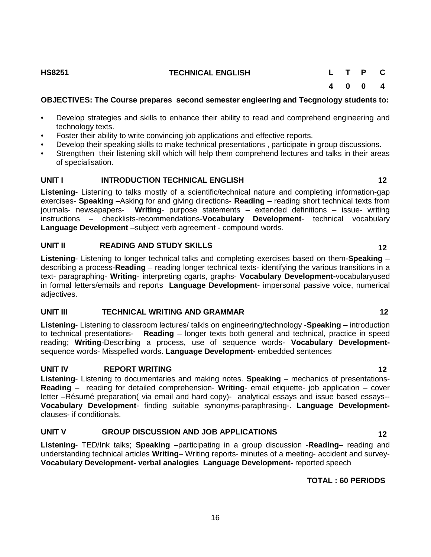#### **HS8251 TECHNICAL ENGLISH L T P C**

**4 0 0 4**

#### **OBJECTIVES: The Course prepares second semester engieering and Tecgnology students to:**

- Develop strategies and skills to enhance their ability to read and comprehend engineering and technology texts.
- Foster their ability to write convincing job applications and effective reports.
- Develop their speaking skills to make technical presentations , participate in group discussions.
- Strengthen their listening skill which will help them comprehend lectures and talks in their areas of specialisation.

### **UNIT I INTRODUCTION TECHNICAL ENGLISH 12**

**Listening**- Listening to talks mostly of a scientific/technical nature and completing information-gap exercises- **Speaking** –Asking for and giving directions- **Reading** – reading short technical texts from journals- newsapapers- **Writing**- purpose statements – extended definitions – issue- writing instructions – checklists-recommendations-**Vocabulary Development**- technical vocabulary **Language Development** –subject verb agreement - compound words.

### **UNIT II READING AND STUDY SKILLS 12**

**Listening**- Listening to longer technical talks and completing exercises based on them-**Speaking** – describing a process-**Reading** – reading longer technical texts- identifying the various transitions in a text- paragraphing- **Writing**- interpreting cgarts, graphs- **Vocabulary Development-**vocabularyused in formal letters/emails and reports **Language Development-** impersonal passive voice, numerical adjectives.

### **UNIT III TECHNICAL WRITING AND GRAMMAR 12**

**Listening**- Listening to classroom lectures/ talkls on engineering/technology -**Speaking** – introduction to technical presentations- **Reading** – longer texts both general and technical, practice in speed reading; **Writing**-Describing a process, use of sequence words- **Vocabulary Development** sequence words- Misspelled words. **Language Development-** embedded sentences

### **UNIT IV REPORT WRITING 12**

**Listening**- Listening to documentaries and making notes. **Speaking** – mechanics of presentations- **Reading** – reading for detailed comprehension- **Writing**- email etiquette- job application – cover letter –Résumé preparation( via email and hard copy)- analytical essays and issue based essays-- **Vocabulary Development**- finding suitable synonyms-paraphrasing-. **Language Development** clauses- if conditionals.

### **UNIT V GROUP DISCUSSION AND JOB APPLICATIONS 12**

**Listening**- TED/Ink talks; **Speaking** –participating in a group discussion -**Reading**– reading and understanding technical articles **Writing**– Writing reports- minutes of a meeting- accident and survey- **Vocabulary Development- verbal analogies Language Development-** reported speech

### **TOTAL : 60 PERIODS**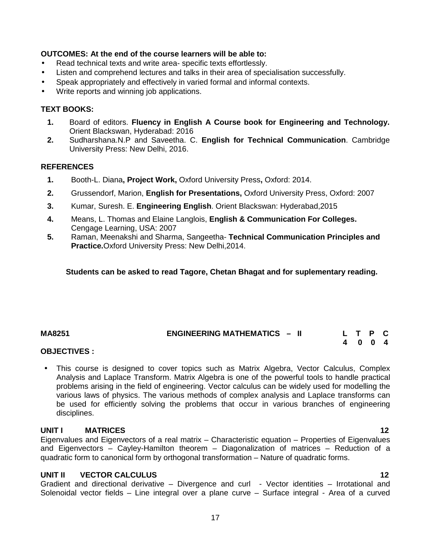#### **OUTCOMES: At the end of the course learners will be able to:**

- Read technical texts and write area- specific texts effortlessly.
- Listen and comprehend lectures and talks in their area of specialisation successfully.
- Speak appropriately and effectively in varied formal and informal contexts.
- Write reports and winning job applications.

#### **TEXT BOOKS:**

- **1.** Board of editors. **Fluency in English A Course book for Engineering and Technology.** Orient Blackswan, Hyderabad: 2016
- **2.** Sudharshana.N.P and Saveetha. C. **English for Technical Communication**. Cambridge University Press: New Delhi, 2016.

#### **REFERENCES**

- **1.** Booth-L. Diana**, Project Work,** Oxford University Press**,** Oxford: 2014.
- **2.** Grussendorf, Marion, **English for Presentations,** Oxford University Press, Oxford: 2007
- **3.** Kumar, Suresh. E. **Engineering English**. Orient Blackswan: Hyderabad,2015
- **4.** Means, L. Thomas and Elaine Langlois, **English & Communication For Colleges.** Cengage Learning, USA: 2007
- **5.** Raman, Meenakshi and Sharma, Sangeetha- **Technical Communication Principles and Practice.**Oxford University Press: New Delhi,2014.

#### **Students can be asked to read Tagore, Chetan Bhagat and for suplementary reading.**

#### **MA8251 ENGINEERING MATHEMATICS – II L T P C 4 0 0 4**

#### **OBJECTIVES :**

 This course is designed to cover topics such as Matrix Algebra, Vector Calculus, Complex Analysis and Laplace Transform. Matrix Algebra is one of the powerful tools to handle practical problems arising in the field of engineering. Vector calculus can be widely used for modelling the various laws of physics. The various methods of complex analysis and Laplace transforms can be used for efficiently solving the problems that occur in various branches of engineering disciplines.

#### **UNIT I MATRICES 12**

Eigenvalues and Eigenvectors of a real matrix – Characteristic equation – Properties of Eigenvalues and Eigenvectors – Cayley-Hamilton theorem – Diagonalization of matrices – Reduction of a quadratic form to canonical form by orthogonal transformation – Nature of quadratic forms.

#### **UNIT II VECTOR CALCULUS 12**

Gradient and directional derivative – Divergence and curl - Vector identities – Irrotational and Solenoidal vector fields – Line integral over a plane curve – Surface integral - Area of a curved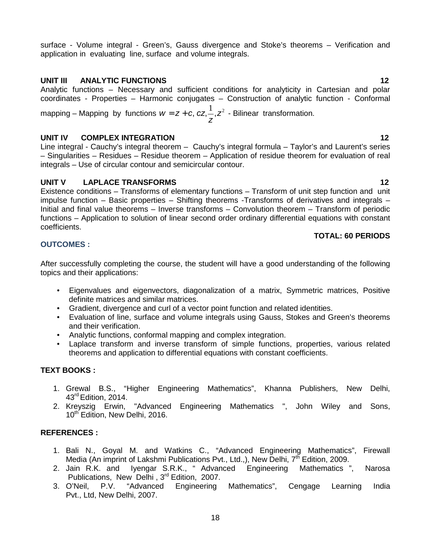surface - Volume integral - Green's, Gauss divergence and Stoke's theorems – Verification and application in evaluating line, surface and volume integrals.

### **UNIT III ANALYTIC FUNCTIONS 12**

Analytic functions – Necessary and sufficient conditions for analyticity in Cartesian and polar coordinates - Properties – Harmonic conjugates – Construction of analytic function - Conformal

mapping – Mapping by functions  $w = z + c, \, cz, \stackrel{1}{\text{--}}\, z^2$  - Bilinear transformation. **z**<sup>2</sup>  $W = Z + C$ ,  $CZ$ ,  $\frac{1}{2}$ ,  $Z^2$  - Bilinear transformation.

#### **UNIT IV COMPLEX INTEGRATION 12**

Line integral - Cauchy's integral theorem – Cauchy's integral formula – Taylor's and Laurent's series – Singularities – Residues – Residue theorem – Application of residue theorem for evaluation of real integrals – Use of circular contour and semicircular contour.

### **UNIT V LAPLACE TRANSFORMS 12**

Existence conditions – Transforms of elementary functions – Transform of unit step function and unit impulse function – Basic properties – Shifting theorems -Transforms of derivatives and integrals – Initial and final value theorems – Inverse transforms – Convolution theorem – Transform of periodic functions – Application to solution of linear second order ordinary differential equations with constant coefficients.

#### **TOTAL: 60 PERIODS**

### **OUTCOMES :**

After successfully completing the course, the student will have a good understanding of the following topics and their applications:

- Eigenvalues and eigenvectors, diagonalization of a matrix, Symmetric matrices, Positive definite matrices and similar matrices.
- Gradient, divergence and curl of a vector point function and related identities.
- Evaluation of line, surface and volume integrals using Gauss, Stokes and Green's theorems and their verification.
- Analytic functions, conformal mapping and complex integration.
- Laplace transform and inverse transform of simple functions, properties, various related theorems and application to differential equations with constant coefficients.

### **TEXT BOOKS :**

- 1. Grewal B.S., "Higher Engineering Mathematics", Khanna Publishers, New Delhi, 43<sup>rd</sup> Edition, 2014.
- 2. Kreyszig Erwin, "Advanced Engineering Mathematics ", John Wiley and Sons, 10<sup>th</sup> Edition, New Delhi, 2016.

#### **REFERENCES :**

- 1. Bali N., Goyal M. and Watkins C., "Advanced Engineering Mathematics", Firewall Media (An imprint of Lakshmi Publications Pvt., Ltd.,), New Delhi, 7<sup>th</sup> Edition, 2009.<br>Jain R.K. and Ivengar S.R.K., "Advanced Engineering Mathematics "
- 2. Jain R.K. and Iyengar S.R.K., " Advanced Engineering Mathematics ", Narosa Publications, New Delhi, 3<sup>rd</sup> Edition, 2007.
- 3. O'Neil, P.V. "Advanced Engineering Mathematics", Cengage Learning India Pvt., Ltd, New Delhi, 2007.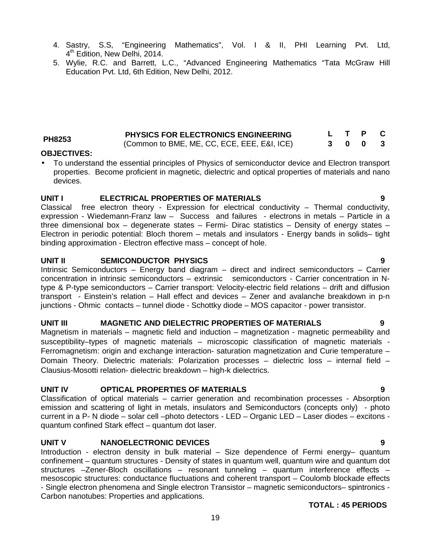- 4. Sastry, S.S, "Engineering Mathematics", Vol. I & II, PHI Learning Pvt. Ltd, 4 th Edition, New Delhi, 2014.
- 5. Wylie, R.C. and Barrett, L.C., "Advanced Engineering Mathematics "Tata McGraw Hill Education Pvt. Ltd, 6th Edition, New Delhi, 2012.

|        | <b>PHYSICS FOR ELECTRONICS ENGINEERING</b>  |  | L T P C |  |
|--------|---------------------------------------------|--|---------|--|
| PH8253 | (Common to BME, ME, CC, ECE, EEE, E&I, ICE) |  | 300     |  |
|        |                                             |  |         |  |

#### **OBJECTIVES:**

 To understand the essential principles of Physics of semiconductor device and Electron transport properties. Become proficient in magnetic, dielectric and optical properties of materials and nano devices.

#### **UNIT I ELECTRICAL PROPERTIES OF MATERIALS 9**

Classical free electron theory - Expression for electrical conductivity – Thermal conductivity, expression - Wiedemann-Franz law - Success and failures - electrons in metals - Particle in a three dimensional box – degenerate states – Fermi- Dirac statistics – Density of energy states – Electron in periodic potential: Bloch thorem – metals and insulators - Energy bands in solids– tight binding approximation - Electron effective mass – concept of hole.

#### **UNIT II SEMICONDUCTOR PHYSICS 9**

Intrinsic Semiconductors – Energy band diagram – direct and indirect semiconductors – Carrier concentration in intrinsic semiconductors – extrinsic semiconductors - Carrier concentration in Ntype & P-type semiconductors – Carrier transport: Velocity-electric field relations – drift and diffusion transport - Einstein's relation – Hall effect and devices – Zener and avalanche breakdown in p-n junctions - Ohmic contacts – tunnel diode - Schottky diode – MOS capacitor - power transistor.

#### **UNIT III MAGNETIC AND DIELECTRIC PROPERTIES OF MATERIALS 9**

Magnetism in materials – magnetic field and induction – magnetization - magnetic permeability and susceptibility–types of magnetic materials – microscopic classification of magnetic materials - Ferromagnetism: origin and exchange interaction- saturation magnetization and Curie temperature – Domain Theory. Dielectric materials: Polarization processes – dielectric loss – internal field – Clausius-Mosotti relation- dielectric breakdown – high-k dielectrics.

#### **UNIT IV OPTICAL PROPERTIES OF MATERIALS 9**

Classification of optical materials – carrier generation and recombination processes - Absorption emission and scattering of light in metals, insulators and Semiconductors (concepts only) - photo current in a P- N diode – solar cell –photo detectors - LED – Organic LED – Laser diodes – excitons quantum confined Stark effect – quantum dot laser.

#### **UNIT V NANOELECTRONIC DEVICES 9**

Introduction - electron density in bulk material – Size dependence of Fermi energy– quantum confinement – quantum structures - Density of states in quantum well, quantum wire and quantum dot structures –Zener-Bloch oscillations – resonant tunneling – quantum interference effects – mesoscopic structures: conductance fluctuations and coherent transport – Coulomb blockade effects - Single electron phenomena and Single electron Transistor – magnetic semiconductors– spintronics - Carbon nanotubes: Properties and applications.

#### **TOTAL : 45 PERIODS**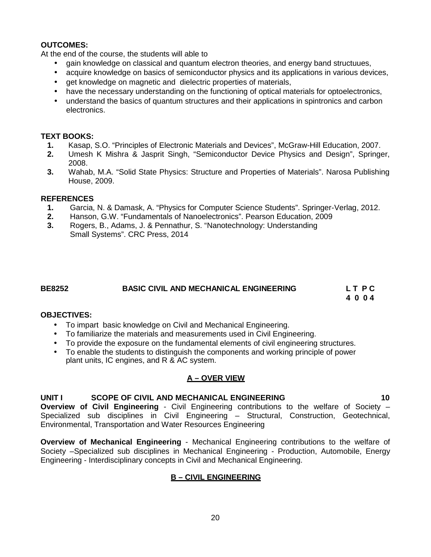#### **OUTCOMES:**

At the end of the course, the students will able to

- gain knowledge on classical and quantum electron theories, and energy band structuues,
- acquire knowledge on basics of semiconductor physics and its applications in various devices,
- get knowledge on magnetic and dielectric properties of materials,
- have the necessary understanding on the functioning of optical materials for optoelectronics,
- understand the basics of quantum structures and their applications in spintronics and carbon electronics.

#### **TEXT BOOKS:**

- **1.** Kasap, S.O. "Principles of Electronic Materials and Devices", McGraw-Hill Education, 2007.
- **2.** Umesh K Mishra & Jasprit Singh, "Semiconductor Device Physics and Design", Springer, 2008.
- **3.** Wahab, M.A. "Solid State Physics: Structure and Properties of Materials". Narosa Publishing House, 2009.

#### **REFERENCES**

- **1.** Garcia, N. & Damask, A. "Physics for Computer Science Students". Springer-Verlag, 2012.
- **2.** Hanson, G.W. "Fundamentals of Nanoelectronics". Pearson Education, 2009
- **3.** Rogers, B., Adams, J. & Pennathur, S. "Nanotechnology: Understanding Small Systems". CRC Press, 2014

### **BE8252 BASIC CIVIL AND MECHANICAL ENGINEERING L T P C**

**4 0 0 4**

#### **OBJECTIVES:**

- To impart basic knowledge on Civil and Mechanical Engineering.
- To familiarize the materials and measurements used in Civil Engineering.
- To provide the exposure on the fundamental elements of civil engineering structures.
- To enable the students to distinguish the components and working principle of power plant units, IC engines, and R & AC system.

#### **A – OVER VIEW**

#### **UNIT I SCOPE OF CIVIL AND MECHANICAL ENGINEERING 10**

**Overview of Civil Engineering** - Civil Engineering contributions to the welfare of Society – Specialized sub disciplines in Civil Engineering – Structural, Construction, Geotechnical, Environmental, Transportation and Water Resources Engineering

**Overview of Mechanical Engineering** - Mechanical Engineering contributions to the welfare of Society –Specialized sub disciplines in Mechanical Engineering - Production, Automobile, Energy Engineering - Interdisciplinary concepts in Civil and Mechanical Engineering.

#### **B – CIVIL ENGINEERING**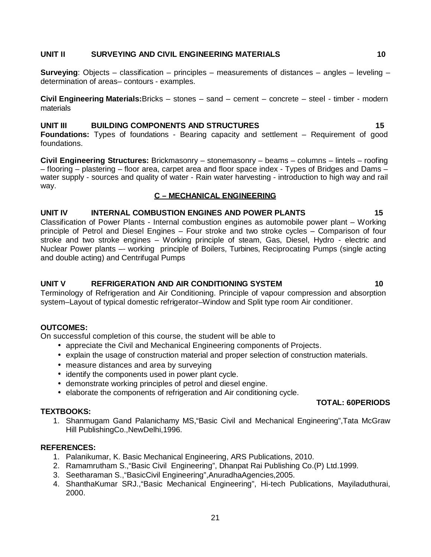#### **UNIT II SURVEYING AND CIVIL ENGINEERING MATERIALS 10**

**Surveying**: Objects – classification – principles – measurements of distances – angles – leveling – determination of areas– contours - examples.

**Civil Engineering Materials:**Bricks – stones – sand – cement – concrete – steel- timber - modern materials

#### **UNIT III BUILDING COMPONENTS AND STRUCTURES 15**

**Foundations:** Types of foundations - Bearing capacity and settlement – Requirement of good foundations.

**Civil Engineering Structures:** Brickmasonry – stonemasonry – beams – columns – lintels – roofing – flooring – plastering – floor area, carpet area and floor space index - Types of Bridges and Dams – water supply - sources and quality of water - Rain water harvesting - introduction to high way and rail way.

#### **C – MECHANICAL ENGINEERING**

#### **UNIT IV INTERNAL COMBUSTION ENGINES AND POWER PLANTS 15**

Classification of Power Plants - Internal combustion engines as automobile power plant – Working principle of Petrol and Diesel Engines – Four stroke and two stroke cycles – Comparison of four stroke and two stroke engines – Working principle of steam, Gas, Diesel, Hydro - electric and Nuclear Power plants -- working principle of Boilers, Turbines, Reciprocating Pumps (single acting and double acting) and Centrifugal Pumps

#### **UNIT V REFRIGERATION AND AIR CONDITIONING SYSTEM 10**

Terminology of Refrigeration and AirConditioning. Principle of vapour compression and absorption system–Layout of typical domestic refrigerator–Window and Split type room Air conditioner.

#### **OUTCOMES:**

On successful completion of this course, the student will be able to

- appreciate the Civil and Mechanical Engineering components of Projects.
- explain the usage of construction material and proper selection of construction materials.
- measure distances and area by surveying
- identify the components used in power plant cycle.
- demonstrate working principles of petrol and diesel engine.
- elaborate the components of refrigeration and Air conditioning cycle.

#### **TEXTBOOKS:**

1. Shanmugam Gand Palanichamy MS,"Basic Civil and Mechanical Engineering",Tata McGraw Hill PublishingCo.,NewDelhi,1996.

#### **REFERENCES:**

- 1. Palanikumar, K. Basic Mechanical Engineering, ARS Publications, 2010.
- 2. Ramamrutham S.,"Basic Civil Engineering", Dhanpat Rai Publishing Co.(P) Ltd.1999.
- 3. Seetharaman S.,"BasicCivil Engineering",AnuradhaAgencies,2005.
- 4. ShanthaKumar SRJ.,"Basic Mechanical Engineering", Hi-tech Publications, Mayiladuthurai, 2000.

**TOTAL: 60PERIODS**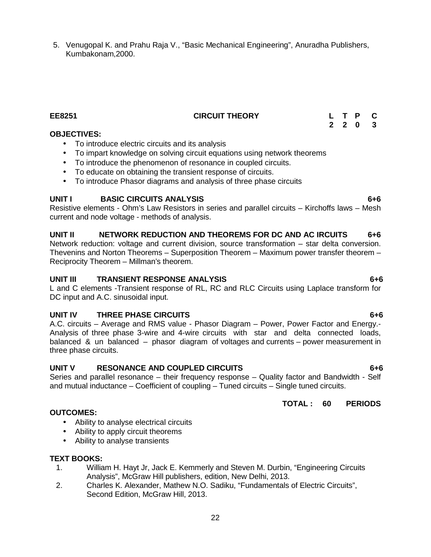5. Venugopal K. and Prahu Raja V., "Basic Mechanical Engineering", Anuradha Publishers, Kumbakonam,2000.

#### **OBJECTIVES:**

- To introduce electric circuits and its analysis
- To impart knowledge on solving circuit equations using network theorems
- To introduce the phenomenon of resonance in coupled circuits.
- To educate on obtaining the transient response of circuits.
- To introduce Phasor diagrams and analysis of three phase circuits

#### **UNIT I BASIC CIRCUITS ANALYSIS 6+6**

Resistive elements - Ohm's Law Resistors in series and parallel circuits – Kirchoffs laws – Mesh current and node voltage - methods of analysis.

#### **UNIT II NETWORK REDUCTION AND THEOREMS FOR DC AND AC IRCUITS 6+6**

Network reduction: voltage and current division, source transformation – star delta conversion. Thevenins and Norton Theorems – Superposition Theorem – Maximum power transfer theorem – Reciprocity Theorem – Millman's theorem.

#### **UNIT III TRANSIENT RESPONSE ANALYSIS 6+6**

L and C elements -Transient response of RL, RC and RLC Circuits using Laplace transform for DC input and A.C. sinusoidal input.

#### **UNIT IV THREE PHASE CIRCUITS 6+6**

A.C. circuits – Average and RMS value - Phasor Diagram – Power, Power Factor and Energy.- Analysis of three phase 3-wire and 4-wire circuits with star and delta connected loads, balanced & un balanced – phasor diagram of voltages and currents – power measurement in three phase circuits.

#### **UNIT V RESONANCE AND COUPLED CIRCUITS 6+6**

Series and parallel resonance – their frequency response – Quality factor and Bandwidth - Self and mutual inductance – Coefficient of coupling – Tuned circuits – Single tuned circuits.

#### **TOTAL : 60 PERIODS**

- Ability to analyse electrical circuits
- Ability to apply circuit theorems
- Ability to analyse transients

#### **TEXT BOOKS:**

**OUTCOMES:**

- 1. William H. Hayt Jr, Jack E. Kemmerly and Steven M. Durbin, "Engineering Circuits Analysis", McGraw Hill publishers, edition, New Delhi, 2013.
- 2. Charles K. Alexander, Mathew N.O. Sadiku, "Fundamentals of Electric Circuits", Second Edition, McGraw Hill, 2013.

**EE8251 CIRCUIT THEORY L T P C 2 2 0 3**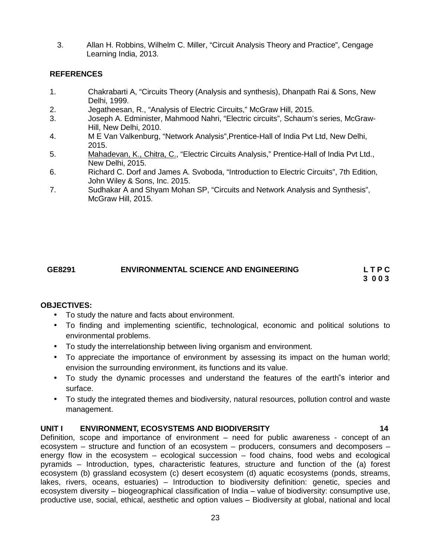3. Allan H. Robbins, Wilhelm C. Miller, "Circuit Analysis Theory and Practice", Cengage Learning India, 2013.

#### **REFERENCES**

- 1. Chakrabarti A, "Circuits Theory (Analysis and synthesis), Dhanpath Rai & Sons, New Delhi, 1999.
- 2. Jegatheesan, R., "Analysis of Electric Circuits," McGraw Hill, 2015.
- 3. Joseph A. Edminister, Mahmood Nahri, "Electric circuits", Schaum's series, McGraw- Hill, New Delhi, 2010.
- 4. M E Van Valkenburg, "Network Analysis",Prentice-Hall of India Pvt Ltd, New Delhi, 2015.
- 5. Mahadevan, K., Chitra, C., "Electric Circuits Analysis," Prentice-Hall of India Pvt Ltd., New Delhi, 2015.
- 6. Richard C. Dorf and James A. Svoboda, "Introduction to Electric Circuits", 7th Edition, John Wiley & Sons, Inc. 2015.
- 7. Sudhakar A and Shyam Mohan SP, "Circuits and Network Analysis and Synthesis", McGraw Hill, 2015.

## **GE8291 ENVIRONMENTAL SCIENCE AND ENGINEERING L T P C**

**3 0 0 3**

#### **OBJECTIVES:**

- To study the nature and facts about environment.
- To finding and implementing scientific, technological, economic and political solutions to environmental problems.
- To study the interrelationship between living organism and environment.
- To appreciate the importance of environment by assessing its impact on the human world; envision the surrounding environment, its functions and its value.
- To study the dynamic processes and understand the features of the earth"s interior and surface.
- To study the integrated themes and biodiversity, natural resources, pollution control and waste management.

#### **UNIT I ENVIRONMENT, ECOSYSTEMS AND BIODIVERSITY 14**

Definition, scope and importance of environment – need for public awareness - concept of an ecosystem – structure and function of an ecosystem – producers, consumers and decomposers – energy flow in the ecosystem – ecological succession – food chains, food webs and ecological pyramids – Introduction, types, characteristic features, structure and function of the (a) forest ecosystem (b) grassland ecosystem (c) desert ecosystem (d) aquatic ecosystems (ponds, streams, lakes, rivers, oceans, estuaries) – Introduction to biodiversity definition: genetic, species and ecosystem diversity – biogeographical classification of India – value of biodiversity: consumptive use, productive use, social, ethical, aesthetic and option values – Biodiversity at global, national and local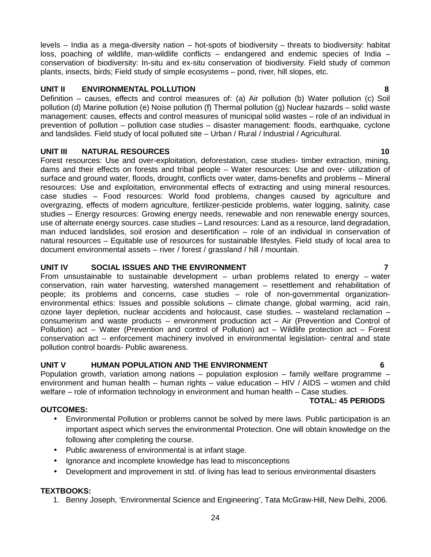levels – India as a mega-diversity nation – hot-spots of biodiversity – threats to biodiversity: habitat loss, poaching of wildlife, man-wildlife conflicts – endangered and endemic species of India – conservation of biodiversity: In-situ and ex-situ conservation of biodiversity. Field study of common plants, insects, birds; Field study of simple ecosystems – pond, river, hill slopes, etc.

#### **UNIT II ENVIRONMENTAL POLLUTION 8**

Definition – causes, effects and control measures of: (a) Air pollution (b) Water pollution (c) Soil pollution (d) Marine pollution (e) Noise pollution (f) Thermal pollution (g) Nuclear hazards – solid waste management: causes, effects and control measures of municipal solid wastes – role of an individual in prevention of pollution – pollution case studies – disaster management: floods, earthquake, cyclone and landslides. Field study of local polluted site – Urban / Rural / Industrial / Agricultural.

#### **UNIT III NATURAL RESOURCES 10**

Forest resources: Use and over-exploitation, deforestation, case studies- timber extraction, mining, dams and their effects on forests and tribal people – Water resources: Use and over- utilization of surface and ground water, floods, drought, conflicts over water, dams-benefits and problems – Mineral resources: Use and exploitation, environmental effects of extracting and using mineral resources, case studies – Food resources: World food problems, changes caused by agriculture and overgrazing, effects of modern agriculture, fertilizer-pesticide problems, water logging, salinity, case studies – Energy resources: Growing energy needs, renewable and non renewable energy sources, use of alternate energy sources. case studies – Land resources: Land as a resource, land degradation, man induced landslides, soil erosion and desertification – role of an individual in conservation of natural resources – Equitable use of resources for sustainable lifestyles. Field study of local area to document environmental assets – river / forest / grassland / hill / mountain.

#### **UNIT IV SOCIAL ISSUES AND THE ENVIRONMENT 7**

From unsustainable to sustainable development  $-$  urban problems related to energy  $-$  water conservation, rain water harvesting, watershed management – resettlement and rehabilitation of people; its problems and concerns, case studies – role of non-governmental organization environmental ethics: Issues and possible solutions – climate change, global warming, acid rain, ozone layer depletion, nuclear accidents and holocaust, case studies. – wasteland reclamation – consumerism and waste products – environment production act – Air(Prevention and Control of Pollution) act – Water (Prevention and control of Pollution) act – Wildlife protection act – Forest conservation act – enforcement machinery involved in environmental legislation- central and state pollution control boards- Public awareness.

### **UNIT V HUMAN POPULATION AND THE ENVIRONMENT 6**

Population growth, variation among nations – population explosion – family welfare programme – environment and human health – human rights – value education – HIV / AIDS – women and child welfare – role of information technology in environment and human health – Case studies.

#### **TOTAL: 45 PERIODS**

#### **OUTCOMES:**

- Environmental Pollution or problems cannot be solved by mere laws. Public participation is an important aspect which serves the environmental Protection. One will obtain knowledge on the following after completing the course.
- Public awareness of environmental is at infant stage.
- Ignorance and incomplete knowledge has lead to misconceptions
- Development and improvement in std. of living has lead to serious environmental disasters

### **TEXTBOOKS:**

1. Benny Joseph, 'Environmental Science and Engineering', Tata McGraw-Hill, New Delhi, 2006.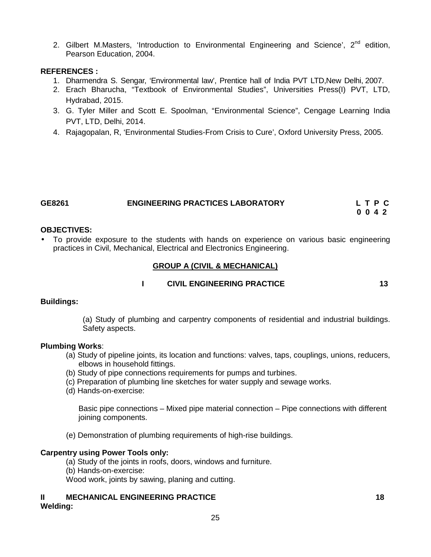2. Gilbert M.Masters, 'Introduction to Environmental Engineering and Science',  $2^{nd}$  edition, Pearson Education, 2004.

#### **REFERENCES :**

- 1. Dharmendra S. Sengar, 'Environmental law', Prentice hall of India PVT LTD,New Delhi, 2007.
- 2. Erach Bharucha, "Textbook of Environmental Studies", Universities Press(I) PVT, LTD, Hydrabad, 2015.
- 3. G. Tyler Miller and Scott E. Spoolman, "Environmental Science", Cengage Learning India PVT, LTD, Delhi, 2014.
- 4. Rajagopalan, R, 'Environmental Studies-From Crisis to Cure', Oxford University Press, 2005.

| GE8261 | <b>ENGINEERING PRACTICES LABORATORY</b> | LTPC |
|--------|-----------------------------------------|------|
|        |                                         | 0042 |

#### **OBJECTIVES:**

 To provide exposure to the students with hands on experience on various basic engineering practices in Civil, Mechanical, Electrical and Electronics Engineering.

#### **GROUP A (CIVIL & MECHANICAL)**

#### **I CIVIL ENGINEERING PRACTICE 13**

#### **Buildings:**

(a) Study of plumbing and carpentry components of residential and industrial buildings. Safety aspects.

#### **Plumbing Works**:

- (a) Study of pipeline joints, its location and functions: valves, taps, couplings, unions, reducers, elbows in household fittings.
- (b) Study of pipe connections requirements for pumps and turbines.
- (c) Preparation of plumbing line sketches for water supply and sewage works.
- (d) Hands-on-exercise:

Basic pipe connections – Mixed pipe material connection – Pipe connections with different joining components.

(e) Demonstration of plumbing requirements of high-rise buildings.

#### **Carpentry using Power Tools only:**

- (a) Study of the joints in roofs, doors, windows and furniture.
- (b) Hands-on-exercise:

Wood work, joints by sawing, planing and cutting.

# **II MECHANICAL ENGINEERING PRACTICE 18**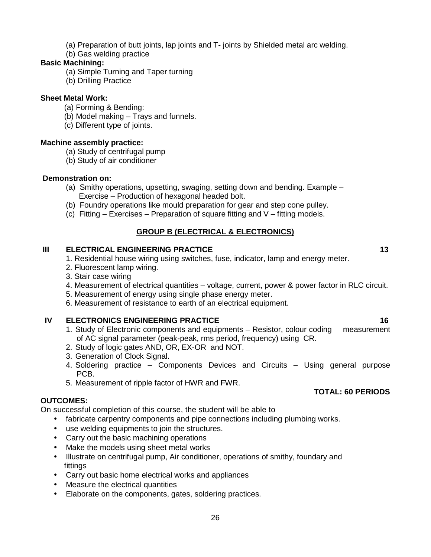- (a) Preparation of butt joints, lap joints and T- joints by Shielded metal arc welding.
- (b) Gas welding practice

### **Basic Machining:**

- (a) Simple Turning and Taper turning
- (b) Drilling Practice

### **Sheet Metal Work:**

- (a) Forming & Bending:
- (b) Model making Trays and funnels.
- (c) Different type of joints.

#### **Machine assembly practice:**

- (a) Study of centrifugal pump
- (b) Study of air conditioner

#### **Demonstration on:**

- (a) Smithy operations, upsetting, swaging, setting down and bending. Example Exercise – Production of hexagonal headed bolt.
- (b) Foundry operations like mould preparation for gear and step cone pulley.
- (c) Fitting  $-$  Exercises  $-$  Preparation of square fitting and V  $-$  fitting models.

### **GROUP B (ELECTRICAL & ELECTRONICS)**

### **III ELECTRICAL ENGINEERING PRACTICE 13**

- 1. Residential house wiring using switches, fuse, indicator, lamp and energy meter.
- 2. Fluorescent lamp wiring.
- 3. Stair case wiring
- 4. Measurement of electrical quantities voltage, current, power & power factor in RLC circuit.
- 5. Measurement of energy using single phase energy meter.
- 6. Measurement of resistance to earth of an electrical equipment.

- **IV ELECTRONICS ENGINEERING PRACTICE**<br>1. Study of Electronic components and equipments Resistor, colour coding measurement 1. Study of Electronic components and equipments – Resistor, colour coding of AC signal parameter (peak-peak, rms period, frequency) using CR.
	- 2. Study of logic gates AND, OR, EX-OR and NOT.
	- 3. Generation of Clock Signal.
	- 4. Soldering practice Components Devices and Circuits Using general purpose PCB.
	- 5. Measurement of ripple factor of HWR and FWR.

### **OUTCOMES:**

On successful completion of this course, the student will be able to

- fabricate carpentry components and pipe connections including plumbing works.
- use welding equipments to join the structures.
- Carry out the basic machining operations
- Make the models using sheet metal works
- Illustrate on centrifugal pump, Air conditioner, operations of smithy, foundary and fittings
- Carry out basic home electrical works and appliances
- Measure the electrical quantities
- Elaborate on the components, gates, soldering practices.

### **TOTAL: 60 PERIODS**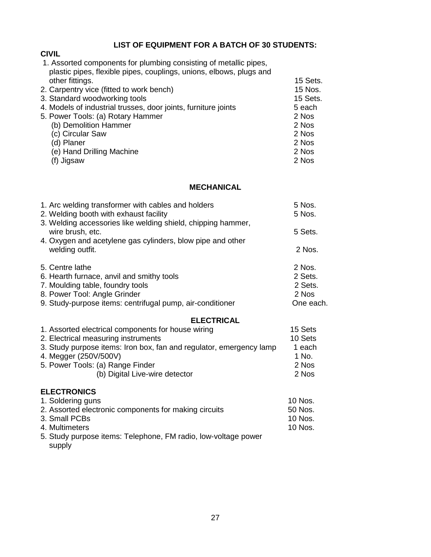### **LIST OF EQUIPMENT FOR A BATCH OF 30 STUDENTS:**

# **CIVIL**

| 1. Assorted components for plumbing consisting of metallic pipes,   |          |  |
|---------------------------------------------------------------------|----------|--|
| plastic pipes, flexible pipes, couplings, unions, elbows, plugs and |          |  |
| other fittings.                                                     | 15 Sets. |  |
| 2. Carpentry vice (fitted to work bench)                            | 15 Nos.  |  |
| 3. Standard woodworking tools                                       | 15 Sets. |  |
| 4. Models of industrial trusses, door joints, furniture joints      | 5 each   |  |
| 5. Power Tools: (a) Rotary Hammer                                   | 2 Nos    |  |
| (b) Demolition Hammer                                               | 2 Nos    |  |
| (c) Circular Saw                                                    | 2 Nos    |  |
| (d) Planer                                                          | 2 Nos    |  |
| (e) Hand Drilling Machine                                           | 2 Nos    |  |
| Jigsaw                                                              | 2 Nos    |  |
|                                                                     |          |  |

#### **MECHANICAL**

| 1. Arc welding transformer with cables and holders<br>2. Welding booth with exhaust facility<br>3. Welding accessories like welding shield, chipping hammer, | 5 Nos.<br>5 Nos. |
|--------------------------------------------------------------------------------------------------------------------------------------------------------------|------------------|
| wire brush, etc.                                                                                                                                             | 5 Sets.          |
| 4. Oxygen and acetylene gas cylinders, blow pipe and other<br>welding outfit.                                                                                | 2 Nos.           |
| 5. Centre lathe                                                                                                                                              | 2 Nos.           |
| 6. Hearth furnace, anvil and smithy tools                                                                                                                    | 2 Sets.          |
| 7. Moulding table, foundry tools                                                                                                                             | 2 Sets.          |
| 8. Power Tool: Angle Grinder                                                                                                                                 | 2 Nos            |
| 9. Study-purpose items: centrifugal pump, air-conditioner                                                                                                    | One each.        |
| <b>ELECTRICAL</b>                                                                                                                                            |                  |
| 1. Assorted electrical components for house wiring                                                                                                           | 15 Sets          |
| 2. Electrical measuring instruments                                                                                                                          | 10 Sets          |
| 3. Study purpose items: Iron box, fan and regulator, emergency lamp                                                                                          | 1 each           |
| 4. Megger (250V/500V)                                                                                                                                        | 1 No.            |
| 5. Power Tools: (a) Range Finder                                                                                                                             | 2 Nos            |
| (b) Digital Live-wire detector                                                                                                                               | 2 Nos            |
|                                                                                                                                                              |                  |

### **ELECTRONICS**

| 1. Soldering guns                                              | 10 Nos. |
|----------------------------------------------------------------|---------|
| 2. Assorted electronic components for making circuits          | 50 Nos. |
| 3. Small PCBs                                                  | 10 Nos. |
| 4. Multimeters                                                 | 10 Nos. |
| 5. Study purpose items: Telephone, FM radio, low-voltage power |         |
| supply                                                         |         |